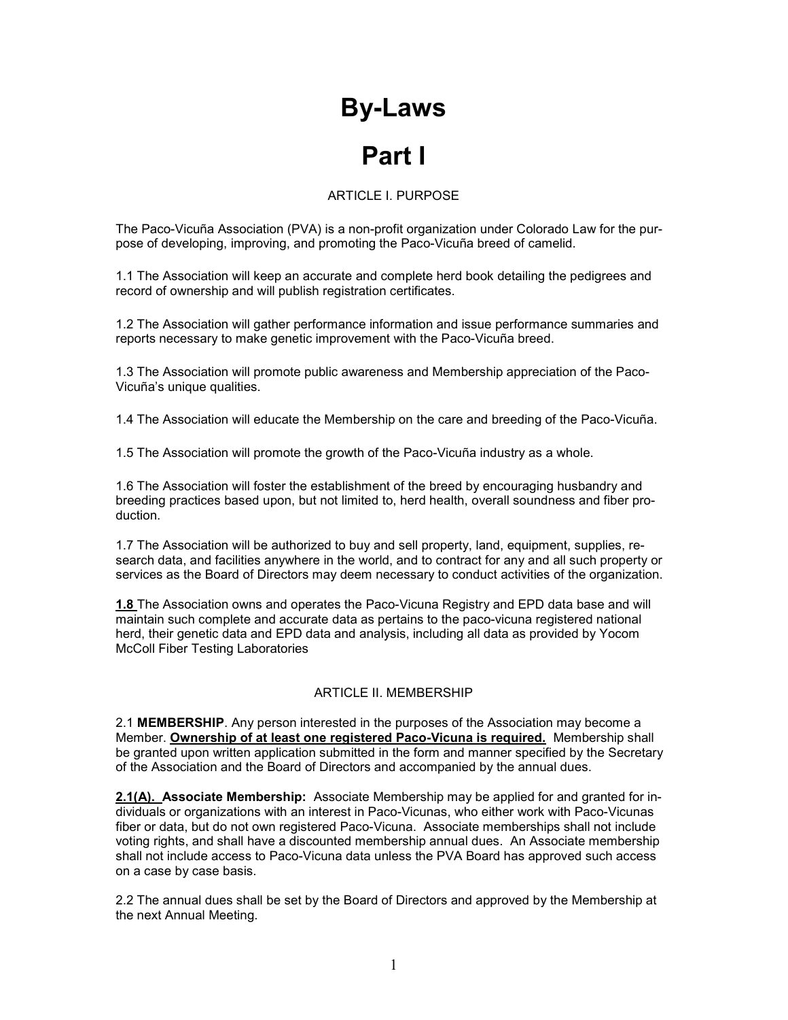# By-Laws

# Part I

### ARTICLE L. PURPOSE

The Paco-Vicuña Association (PVA) is a non-profit organization under Colorado Law for the purpose of developing, improving, and promoting the Paco-Vicuña breed of camelid.

1.1 The Association will keep an accurate and complete herd book detailing the pedigrees and record of ownership and will publish registration certificates.

1.2 The Association will gather performance information and issue performance summaries and reports necessary to make genetic improvement with the Paco-Vicuña breed.

1.3 The Association will promote public awareness and Membership appreciation of the Paco-Vicuña's unique qualities.

1.4 The Association will educate the Membership on the care and breeding of the Paco-Vicuña.

1.5 The Association will promote the growth of the Paco-Vicuña industry as a whole.

1.6 The Association will foster the establishment of the breed by encouraging husbandry and breeding practices based upon, but not limited to, herd health, overall soundness and fiber production.

1.7 The Association will be authorized to buy and sell property, land, equipment, supplies, research data, and facilities anywhere in the world, and to contract for any and all such property or services as the Board of Directors may deem necessary to conduct activities of the organization.

1.8 The Association owns and operates the Paco-Vicuna Registry and EPD data base and will maintain such complete and accurate data as pertains to the paco-vicuna registered national herd, their genetic data and EPD data and analysis, including all data as provided by Yocom McColl Fiber Testing Laboratories

### ARTICLE II. MEMBERSHIP

2.1 MEMBERSHIP. Any person interested in the purposes of the Association may become a Member. Ownership of at least one registered Paco-Vicuna is required. Membership shall be granted upon written application submitted in the form and manner specified by the Secretary of the Association and the Board of Directors and accompanied by the annual dues.

2.1(A). Associate Membership: Associate Membership may be applied for and granted for individuals or organizations with an interest in Paco-Vicunas, who either work with Paco-Vicunas fiber or data, but do not own registered Paco-Vicuna. Associate memberships shall not include voting rights, and shall have a discounted membership annual dues. An Associate membership shall not include access to Paco-Vicuna data unless the PVA Board has approved such access on a case by case basis.

2.2 The annual dues shall be set by the Board of Directors and approved by the Membership at the next Annual Meeting.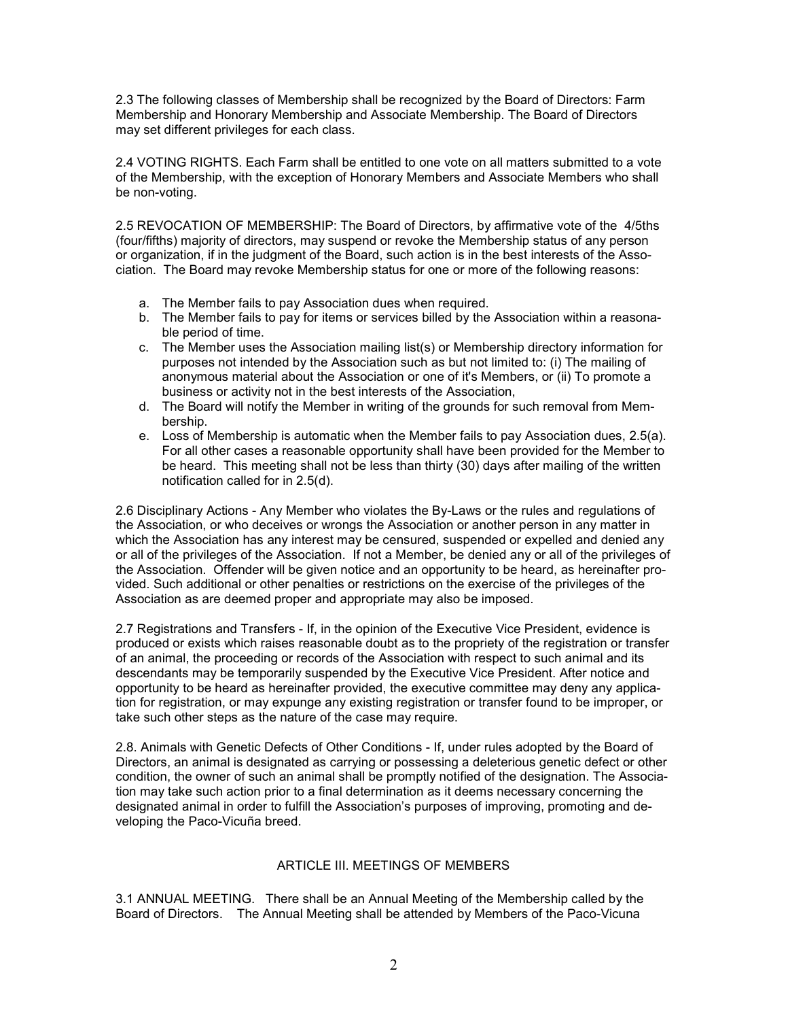2.3 The following classes of Membership shall be recognized by the Board of Directors: Farm Membership and Honorary Membership and Associate Membership. The Board of Directors may set different privileges for each class.

2.4 VOTING RIGHTS. Each Farm shall be entitled to one vote on all matters submitted to a vote of the Membership, with the exception of Honorary Members and Associate Members who shall be non-voting.

2.5 REVOCATION OF MEMBERSHIP: The Board of Directors, by affirmative vote of the 4/5ths (four/fifths) majority of directors, may suspend or revoke the Membership status of any person or organization, if in the judgment of the Board, such action is in the best interests of the Association. The Board may revoke Membership status for one or more of the following reasons:

- a. The Member fails to pay Association dues when required.
- b. The Member fails to pay for items or services billed by the Association within a reasonable period of time.
- c. The Member uses the Association mailing list(s) or Membership directory information for purposes not intended by the Association such as but not limited to: (i) The mailing of anonymous material about the Association or one of it's Members, or (ii) To promote a business or activity not in the best interests of the Association,
- d. The Board will notify the Member in writing of the grounds for such removal from Membership.
- e. Loss of Membership is automatic when the Member fails to pay Association dues, 2.5(a). For all other cases a reasonable opportunity shall have been provided for the Member to be heard. This meeting shall not be less than thirty (30) days after mailing of the written notification called for in 2.5(d).

2.6 Disciplinary Actions - Any Member who violates the By-Laws or the rules and regulations of the Association, or who deceives or wrongs the Association or another person in any matter in which the Association has any interest may be censured, suspended or expelled and denied any or all of the privileges of the Association. If not a Member, be denied any or all of the privileges of the Association. Offender will be given notice and an opportunity to be heard, as hereinafter provided. Such additional or other penalties or restrictions on the exercise of the privileges of the Association as are deemed proper and appropriate may also be imposed.

2.7 Registrations and Transfers - If, in the opinion of the Executive Vice President, evidence is produced or exists which raises reasonable doubt as to the propriety of the registration or transfer of an animal, the proceeding or records of the Association with respect to such animal and its descendants may be temporarily suspended by the Executive Vice President. After notice and opportunity to be heard as hereinafter provided, the executive committee may deny any application for registration, or may expunge any existing registration or transfer found to be improper, or take such other steps as the nature of the case may require.

2.8. Animals with Genetic Defects of Other Conditions - If, under rules adopted by the Board of Directors, an animal is designated as carrying or possessing a deleterious genetic defect or other condition, the owner of such an animal shall be promptly notified of the designation. The Association may take such action prior to a final determination as it deems necessary concerning the designated animal in order to fulfill the Association's purposes of improving, promoting and developing the Paco-Vicuña breed.

### ARTICLE III. MEETINGS OF MEMBERS

3.1 ANNUAL MEETING. There shall be an Annual Meeting of the Membership called by the Board of Directors. The Annual Meeting shall be attended by Members of the Paco-Vicuna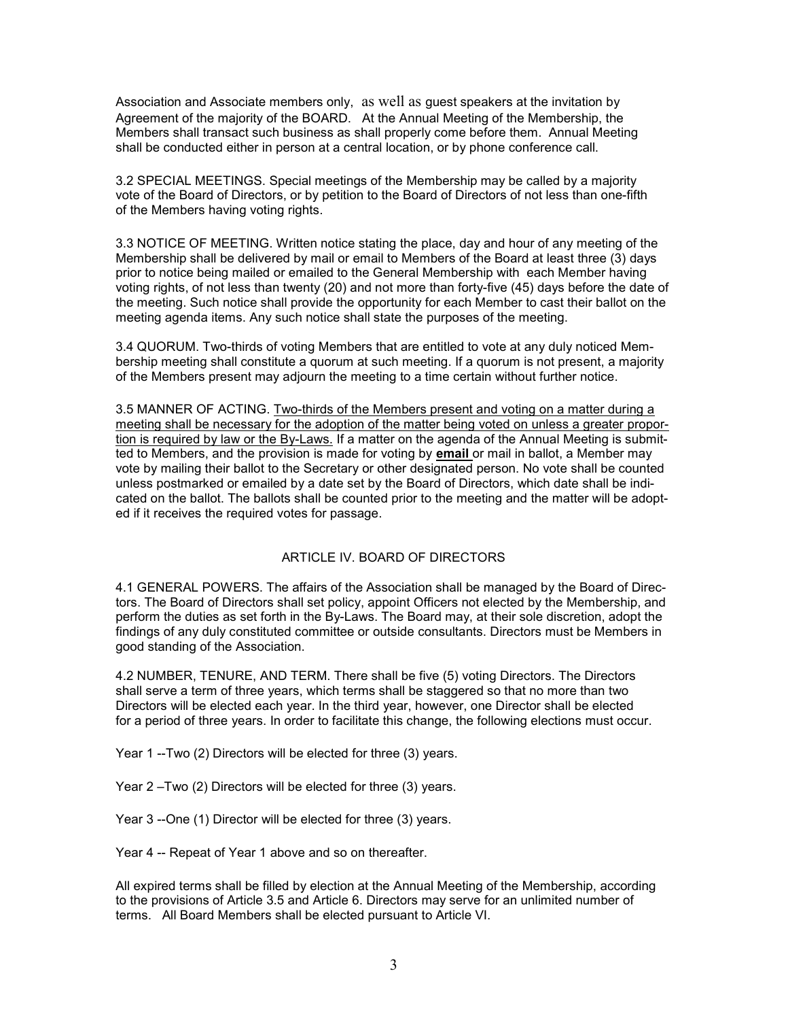Association and Associate members only, as well as guest speakers at the invitation by Agreement of the majority of the BOARD. At the Annual Meeting of the Membership, the Members shall transact such business as shall properly come before them. Annual Meeting shall be conducted either in person at a central location, or by phone conference call.

3.2 SPECIAL MEETINGS. Special meetings of the Membership may be called by a majority vote of the Board of Directors, or by petition to the Board of Directors of not less than one-fifth of the Members having voting rights.

3.3 NOTICE OF MEETING. Written notice stating the place, day and hour of any meeting of the Membership shall be delivered by mail or email to Members of the Board at least three (3) days prior to notice being mailed or emailed to the General Membership with each Member having voting rights, of not less than twenty (20) and not more than forty-five (45) days before the date of the meeting. Such notice shall provide the opportunity for each Member to cast their ballot on the meeting agenda items. Any such notice shall state the purposes of the meeting.

3.4 QUORUM. Two-thirds of voting Members that are entitled to vote at any duly noticed Membership meeting shall constitute a quorum at such meeting. If a quorum is not present, a majority of the Members present may adjourn the meeting to a time certain without further notice.

3.5 MANNER OF ACTING. Two-thirds of the Members present and voting on a matter during a meeting shall be necessary for the adoption of the matter being voted on unless a greater proportion is required by law or the By-Laws. If a matter on the agenda of the Annual Meeting is submitted to Members, and the provision is made for voting by email or mail in ballot, a Member may vote by mailing their ballot to the Secretary or other designated person. No vote shall be counted unless postmarked or emailed by a date set by the Board of Directors, which date shall be indicated on the ballot. The ballots shall be counted prior to the meeting and the matter will be adopted if it receives the required votes for passage.

#### ARTICLE IV. BOARD OF DIRECTORS

4.1 GENERAL POWERS. The affairs of the Association shall be managed by the Board of Directors. The Board of Directors shall set policy, appoint Officers not elected by the Membership, and perform the duties as set forth in the By-Laws. The Board may, at their sole discretion, adopt the findings of any duly constituted committee or outside consultants. Directors must be Members in good standing of the Association.

4.2 NUMBER, TENURE, AND TERM. There shall be five (5) voting Directors. The Directors shall serve a term of three years, which terms shall be staggered so that no more than two Directors will be elected each year. In the third year, however, one Director shall be elected for a period of three years. In order to facilitate this change, the following elections must occur.

Year 1 --Two (2) Directors will be elected for three (3) years.

Year 2 –Two (2) Directors will be elected for three (3) years.

Year 3 --One (1) Director will be elected for three (3) years.

Year 4 -- Repeat of Year 1 above and so on thereafter.

All expired terms shall be filled by election at the Annual Meeting of the Membership, according to the provisions of Article 3.5 and Article 6. Directors may serve for an unlimited number of terms. All Board Members shall be elected pursuant to Article VI.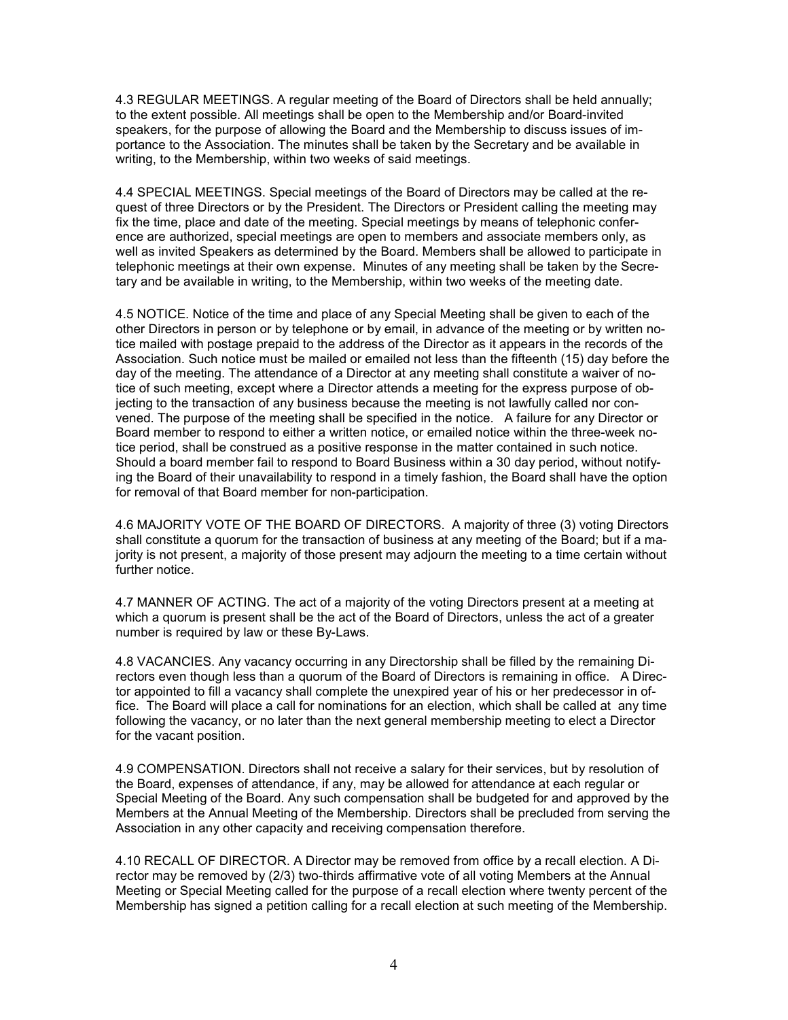4.3 REGULAR MEETINGS. A regular meeting of the Board of Directors shall be held annually; to the extent possible. All meetings shall be open to the Membership and/or Board-invited speakers, for the purpose of allowing the Board and the Membership to discuss issues of importance to the Association. The minutes shall be taken by the Secretary and be available in writing, to the Membership, within two weeks of said meetings.

4.4 SPECIAL MEETINGS. Special meetings of the Board of Directors may be called at the request of three Directors or by the President. The Directors or President calling the meeting may fix the time, place and date of the meeting. Special meetings by means of telephonic conference are authorized, special meetings are open to members and associate members only, as well as invited Speakers as determined by the Board. Members shall be allowed to participate in telephonic meetings at their own expense. Minutes of any meeting shall be taken by the Secretary and be available in writing, to the Membership, within two weeks of the meeting date.

4.5 NOTICE. Notice of the time and place of any Special Meeting shall be given to each of the other Directors in person or by telephone or by email, in advance of the meeting or by written notice mailed with postage prepaid to the address of the Director as it appears in the records of the Association. Such notice must be mailed or emailed not less than the fifteenth (15) day before the day of the meeting. The attendance of a Director at any meeting shall constitute a waiver of notice of such meeting, except where a Director attends a meeting for the express purpose of objecting to the transaction of any business because the meeting is not lawfully called nor convened. The purpose of the meeting shall be specified in the notice. A failure for any Director or Board member to respond to either a written notice, or emailed notice within the three-week notice period, shall be construed as a positive response in the matter contained in such notice. Should a board member fail to respond to Board Business within a 30 day period, without notifying the Board of their unavailability to respond in a timely fashion, the Board shall have the option for removal of that Board member for non-participation.

4.6 MAJORITY VOTE OF THE BOARD OF DIRECTORS. A majority of three (3) voting Directors shall constitute a quorum for the transaction of business at any meeting of the Board; but if a majority is not present, a majority of those present may adjourn the meeting to a time certain without further notice.

4.7 MANNER OF ACTING. The act of a majority of the voting Directors present at a meeting at which a quorum is present shall be the act of the Board of Directors, unless the act of a greater number is required by law or these By-Laws.

4.8 VACANCIES. Any vacancy occurring in any Directorship shall be filled by the remaining Directors even though less than a quorum of the Board of Directors is remaining in office. A Director appointed to fill a vacancy shall complete the unexpired year of his or her predecessor in office. The Board will place a call for nominations for an election, which shall be called at any time following the vacancy, or no later than the next general membership meeting to elect a Director for the vacant position.

4.9 COMPENSATION. Directors shall not receive a salary for their services, but by resolution of the Board, expenses of attendance, if any, may be allowed for attendance at each regular or Special Meeting of the Board. Any such compensation shall be budgeted for and approved by the Members at the Annual Meeting of the Membership. Directors shall be precluded from serving the Association in any other capacity and receiving compensation therefore.

4.10 RECALL OF DIRECTOR. A Director may be removed from office by a recall election. A Director may be removed by (2/3) two-thirds affirmative vote of all voting Members at the Annual Meeting or Special Meeting called for the purpose of a recall election where twenty percent of the Membership has signed a petition calling for a recall election at such meeting of the Membership.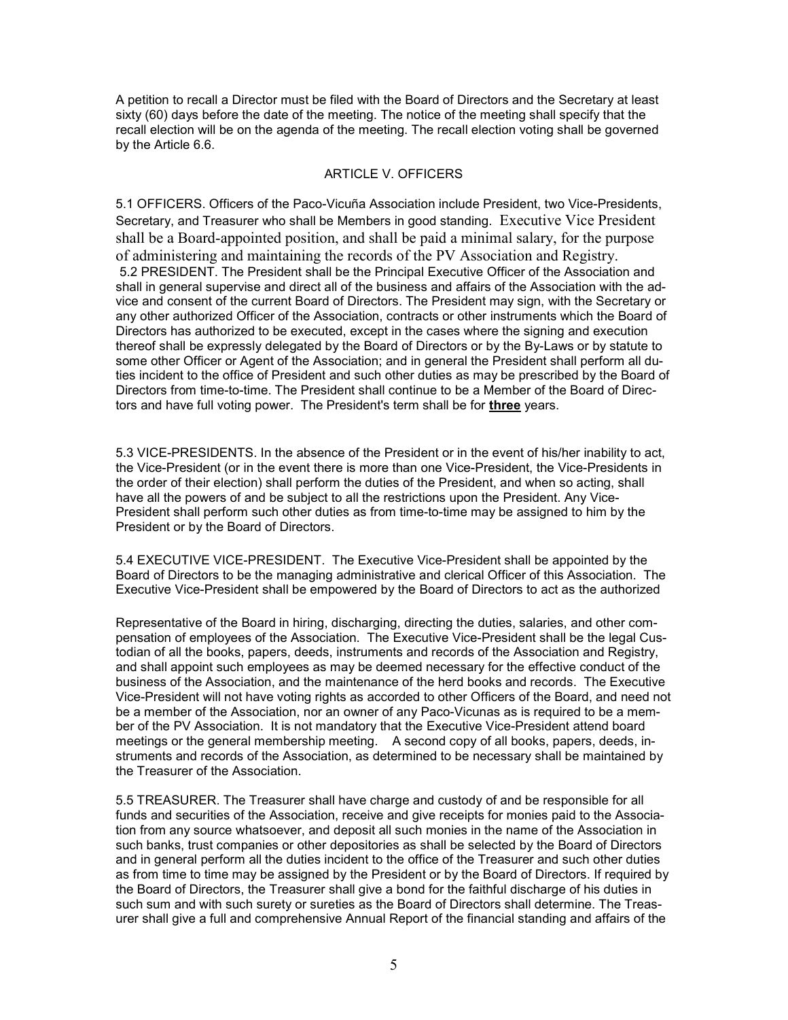A petition to recall a Director must be filed with the Board of Directors and the Secretary at least sixty (60) days before the date of the meeting. The notice of the meeting shall specify that the recall election will be on the agenda of the meeting. The recall election voting shall be governed by the Article 6.6.

### ARTICLE V. OFFICERS

5.1 OFFICERS. Officers of the Paco-Vicuña Association include President, two Vice-Presidents, Secretary, and Treasurer who shall be Members in good standing. Executive Vice President shall be a Board-appointed position, and shall be paid a minimal salary, for the purpose of administering and maintaining the records of the PV Association and Registry. 5.2 PRESIDENT. The President shall be the Principal Executive Officer of the Association and shall in general supervise and direct all of the business and affairs of the Association with the advice and consent of the current Board of Directors. The President may sign, with the Secretary or any other authorized Officer of the Association, contracts or other instruments which the Board of Directors has authorized to be executed, except in the cases where the signing and execution thereof shall be expressly delegated by the Board of Directors or by the By-Laws or by statute to some other Officer or Agent of the Association; and in general the President shall perform all duties incident to the office of President and such other duties as may be prescribed by the Board of Directors from time-to-time. The President shall continue to be a Member of the Board of Directors and have full voting power. The President's term shall be for three years.

5.3 VICE-PRESIDENTS. In the absence of the President or in the event of his/her inability to act, the Vice-President (or in the event there is more than one Vice-President, the Vice-Presidents in the order of their election) shall perform the duties of the President, and when so acting, shall have all the powers of and be subject to all the restrictions upon the President. Any Vice-President shall perform such other duties as from time-to-time may be assigned to him by the President or by the Board of Directors.

5.4 EXECUTIVE VICE-PRESIDENT. The Executive Vice-President shall be appointed by the Board of Directors to be the managing administrative and clerical Officer of this Association. The Executive Vice-President shall be empowered by the Board of Directors to act as the authorized

Representative of the Board in hiring, discharging, directing the duties, salaries, and other compensation of employees of the Association. The Executive Vice-President shall be the legal Custodian of all the books, papers, deeds, instruments and records of the Association and Registry, and shall appoint such employees as may be deemed necessary for the effective conduct of the business of the Association, and the maintenance of the herd books and records. The Executive Vice-President will not have voting rights as accorded to other Officers of the Board, and need not be a member of the Association, nor an owner of any Paco-Vicunas as is required to be a member of the PV Association. It is not mandatory that the Executive Vice-President attend board meetings or the general membership meeting. A second copy of all books, papers, deeds, instruments and records of the Association, as determined to be necessary shall be maintained by the Treasurer of the Association.

5.5 TREASURER. The Treasurer shall have charge and custody of and be responsible for all funds and securities of the Association, receive and give receipts for monies paid to the Association from any source whatsoever, and deposit all such monies in the name of the Association in such banks, trust companies or other depositories as shall be selected by the Board of Directors and in general perform all the duties incident to the office of the Treasurer and such other duties as from time to time may be assigned by the President or by the Board of Directors. If required by the Board of Directors, the Treasurer shall give a bond for the faithful discharge of his duties in such sum and with such surety or sureties as the Board of Directors shall determine. The Treasurer shall give a full and comprehensive Annual Report of the financial standing and affairs of the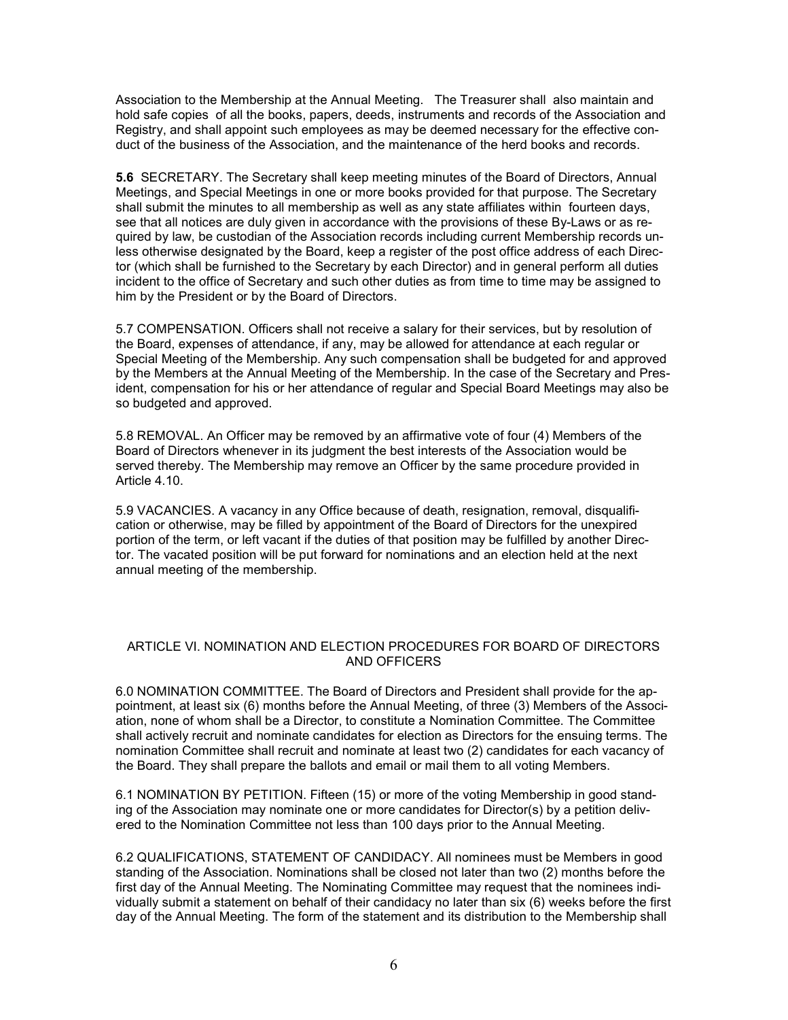Association to the Membership at the Annual Meeting. The Treasurer shall also maintain and hold safe copies of all the books, papers, deeds, instruments and records of the Association and Registry, and shall appoint such employees as may be deemed necessary for the effective conduct of the business of the Association, and the maintenance of the herd books and records.

5.6 SECRETARY. The Secretary shall keep meeting minutes of the Board of Directors, Annual Meetings, and Special Meetings in one or more books provided for that purpose. The Secretary shall submit the minutes to all membership as well as any state affiliates within fourteen days, see that all notices are duly given in accordance with the provisions of these By-Laws or as required by law, be custodian of the Association records including current Membership records unless otherwise designated by the Board, keep a register of the post office address of each Director (which shall be furnished to the Secretary by each Director) and in general perform all duties incident to the office of Secretary and such other duties as from time to time may be assigned to him by the President or by the Board of Directors.

5.7 COMPENSATION. Officers shall not receive a salary for their services, but by resolution of the Board, expenses of attendance, if any, may be allowed for attendance at each regular or Special Meeting of the Membership. Any such compensation shall be budgeted for and approved by the Members at the Annual Meeting of the Membership. In the case of the Secretary and President, compensation for his or her attendance of regular and Special Board Meetings may also be so budgeted and approved.

5.8 REMOVAL. An Officer may be removed by an affirmative vote of four (4) Members of the Board of Directors whenever in its judgment the best interests of the Association would be served thereby. The Membership may remove an Officer by the same procedure provided in Article 4.10.

5.9 VACANCIES. A vacancy in any Office because of death, resignation, removal, disqualification or otherwise, may be filled by appointment of the Board of Directors for the unexpired portion of the term, or left vacant if the duties of that position may be fulfilled by another Director. The vacated position will be put forward for nominations and an election held at the next annual meeting of the membership.

### ARTICLE VI. NOMINATION AND ELECTION PROCEDURES FOR BOARD OF DIRECTORS AND OFFICERS

6.0 NOMINATION COMMITTEE. The Board of Directors and President shall provide for the appointment, at least six (6) months before the Annual Meeting, of three (3) Members of the Association, none of whom shall be a Director, to constitute a Nomination Committee. The Committee shall actively recruit and nominate candidates for election as Directors for the ensuing terms. The nomination Committee shall recruit and nominate at least two (2) candidates for each vacancy of the Board. They shall prepare the ballots and email or mail them to all voting Members.

6.1 NOMINATION BY PETITION. Fifteen (15) or more of the voting Membership in good standing of the Association may nominate one or more candidates for Director(s) by a petition delivered to the Nomination Committee not less than 100 days prior to the Annual Meeting.

6.2 QUALIFICATIONS, STATEMENT OF CANDIDACY. All nominees must be Members in good standing of the Association. Nominations shall be closed not later than two (2) months before the first day of the Annual Meeting. The Nominating Committee may request that the nominees individually submit a statement on behalf of their candidacy no later than six (6) weeks before the first day of the Annual Meeting. The form of the statement and its distribution to the Membership shall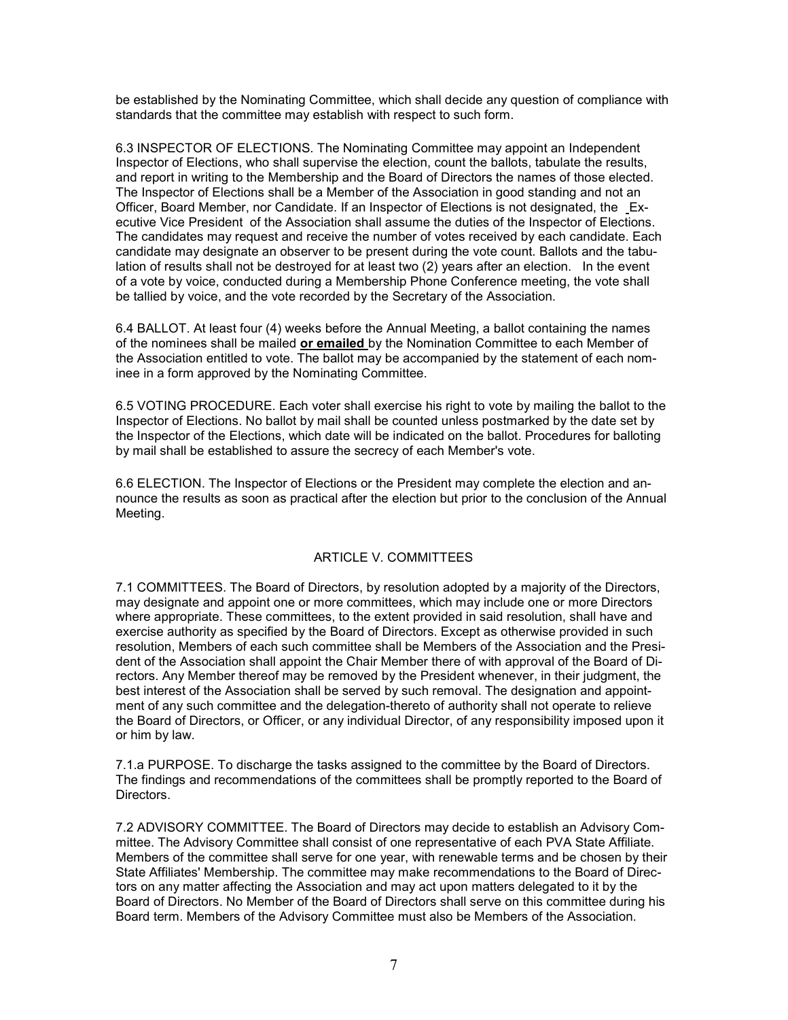be established by the Nominating Committee, which shall decide any question of compliance with standards that the committee may establish with respect to such form.

6.3 INSPECTOR OF ELECTIONS. The Nominating Committee may appoint an Independent Inspector of Elections, who shall supervise the election, count the ballots, tabulate the results, and report in writing to the Membership and the Board of Directors the names of those elected. The Inspector of Elections shall be a Member of the Association in good standing and not an Officer, Board Member, nor Candidate. If an Inspector of Elections is not designated, the Executive Vice President of the Association shall assume the duties of the Inspector of Elections. The candidates may request and receive the number of votes received by each candidate. Each candidate may designate an observer to be present during the vote count. Ballots and the tabulation of results shall not be destroyed for at least two (2) years after an election. In the event of a vote by voice, conducted during a Membership Phone Conference meeting, the vote shall be tallied by voice, and the vote recorded by the Secretary of the Association.

6.4 BALLOT. At least four (4) weeks before the Annual Meeting, a ballot containing the names of the nominees shall be mailed or emailed by the Nomination Committee to each Member of the Association entitled to vote. The ballot may be accompanied by the statement of each nominee in a form approved by the Nominating Committee.

6.5 VOTING PROCEDURE. Each voter shall exercise his right to vote by mailing the ballot to the Inspector of Elections. No ballot by mail shall be counted unless postmarked by the date set by the Inspector of the Elections, which date will be indicated on the ballot. Procedures for balloting by mail shall be established to assure the secrecy of each Member's vote.

6.6 ELECTION. The Inspector of Elections or the President may complete the election and announce the results as soon as practical after the election but prior to the conclusion of the Annual Meeting.

#### ARTICLE V. COMMITTEES

7.1 COMMITTEES. The Board of Directors, by resolution adopted by a majority of the Directors, may designate and appoint one or more committees, which may include one or more Directors where appropriate. These committees, to the extent provided in said resolution, shall have and exercise authority as specified by the Board of Directors. Except as otherwise provided in such resolution, Members of each such committee shall be Members of the Association and the President of the Association shall appoint the Chair Member there of with approval of the Board of Directors. Any Member thereof may be removed by the President whenever, in their judgment, the best interest of the Association shall be served by such removal. The designation and appointment of any such committee and the delegation-thereto of authority shall not operate to relieve the Board of Directors, or Officer, or any individual Director, of any responsibility imposed upon it or him by law.

7.1.a PURPOSE. To discharge the tasks assigned to the committee by the Board of Directors. The findings and recommendations of the committees shall be promptly reported to the Board of Directors.

7.2 ADVISORY COMMITTEE. The Board of Directors may decide to establish an Advisory Committee. The Advisory Committee shall consist of one representative of each PVA State Affiliate. Members of the committee shall serve for one year, with renewable terms and be chosen by their State Affiliates' Membership. The committee may make recommendations to the Board of Directors on any matter affecting the Association and may act upon matters delegated to it by the Board of Directors. No Member of the Board of Directors shall serve on this committee during his Board term. Members of the Advisory Committee must also be Members of the Association.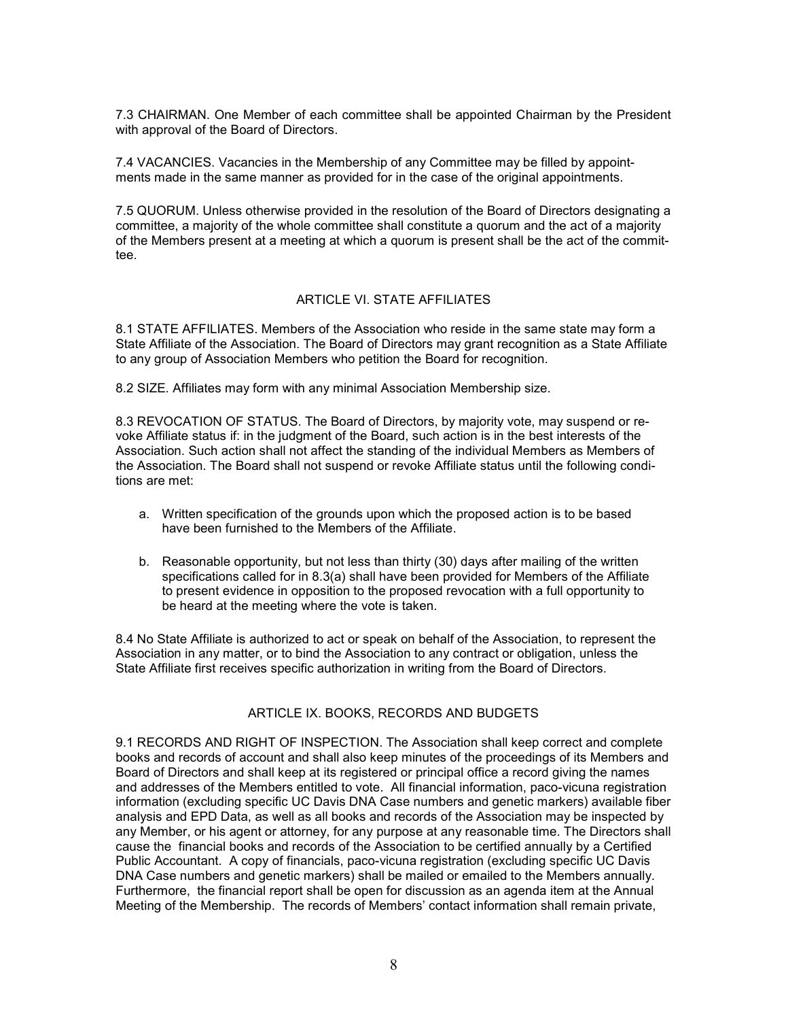7.3 CHAIRMAN. One Member of each committee shall be appointed Chairman by the President with approval of the Board of Directors.

7.4 VACANCIES. Vacancies in the Membership of any Committee may be filled by appointments made in the same manner as provided for in the case of the original appointments.

7.5 QUORUM. Unless otherwise provided in the resolution of the Board of Directors designating a committee, a majority of the whole committee shall constitute a quorum and the act of a majority of the Members present at a meeting at which a quorum is present shall be the act of the committee.

#### ARTICLE VI. STATE AFFILIATES

8.1 STATE AFFILIATES. Members of the Association who reside in the same state may form a State Affiliate of the Association. The Board of Directors may grant recognition as a State Affiliate to any group of Association Members who petition the Board for recognition.

8.2 SIZE. Affiliates may form with any minimal Association Membership size.

8.3 REVOCATION OF STATUS. The Board of Directors, by majority vote, may suspend or revoke Affiliate status if: in the judgment of the Board, such action is in the best interests of the Association. Such action shall not affect the standing of the individual Members as Members of the Association. The Board shall not suspend or revoke Affiliate status until the following conditions are met:

- a. Written specification of the grounds upon which the proposed action is to be based have been furnished to the Members of the Affiliate.
- b. Reasonable opportunity, but not less than thirty (30) days after mailing of the written specifications called for in 8.3(a) shall have been provided for Members of the Affiliate to present evidence in opposition to the proposed revocation with a full opportunity to be heard at the meeting where the vote is taken.

8.4 No State Affiliate is authorized to act or speak on behalf of the Association, to represent the Association in any matter, or to bind the Association to any contract or obligation, unless the State Affiliate first receives specific authorization in writing from the Board of Directors.

### ARTICLE IX. BOOKS, RECORDS AND BUDGETS

9.1 RECORDS AND RIGHT OF INSPECTION. The Association shall keep correct and complete books and records of account and shall also keep minutes of the proceedings of its Members and Board of Directors and shall keep at its registered or principal office a record giving the names and addresses of the Members entitled to vote. All financial information, paco-vicuna registration information (excluding specific UC Davis DNA Case numbers and genetic markers) available fiber analysis and EPD Data, as well as all books and records of the Association may be inspected by any Member, or his agent or attorney, for any purpose at any reasonable time. The Directors shall cause the financial books and records of the Association to be certified annually by a Certified Public Accountant. A copy of financials, paco-vicuna registration (excluding specific UC Davis DNA Case numbers and genetic markers) shall be mailed or emailed to the Members annually. Furthermore, the financial report shall be open for discussion as an agenda item at the Annual Meeting of the Membership. The records of Members' contact information shall remain private,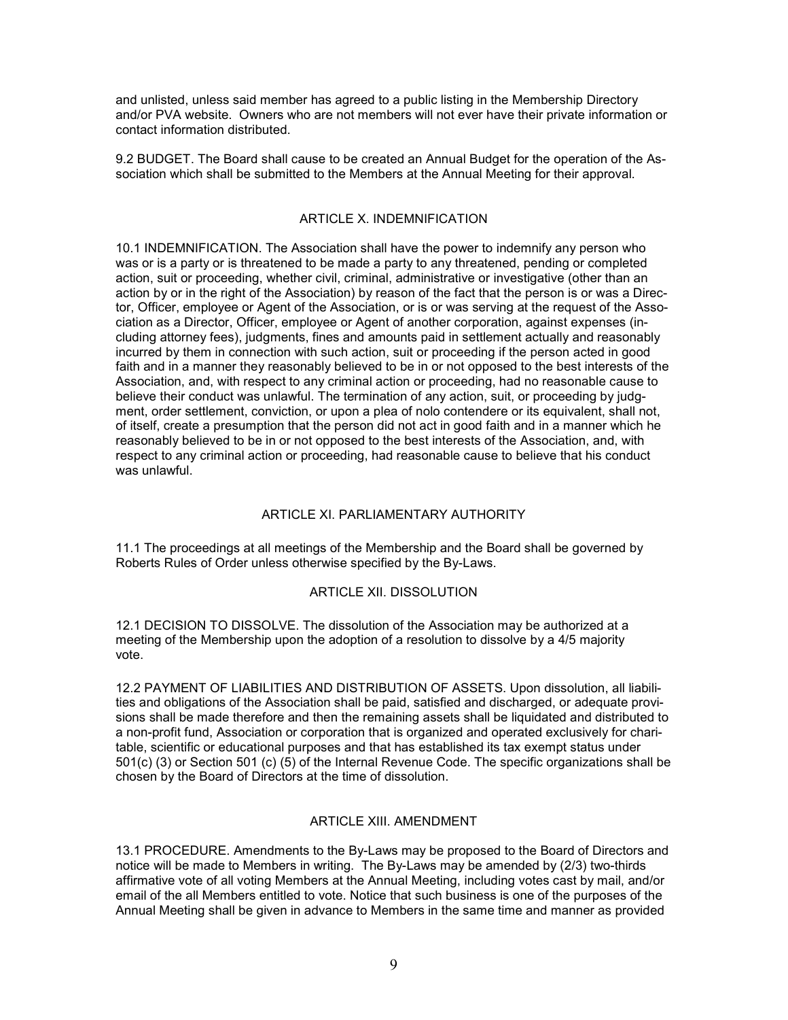and unlisted, unless said member has agreed to a public listing in the Membership Directory and/or PVA website. Owners who are not members will not ever have their private information or contact information distributed.

9.2 BUDGET. The Board shall cause to be created an Annual Budget for the operation of the Association which shall be submitted to the Members at the Annual Meeting for their approval.

### ARTICLE X. INDEMNIFICATION

10.1 INDEMNIFICATION. The Association shall have the power to indemnify any person who was or is a party or is threatened to be made a party to any threatened, pending or completed action, suit or proceeding, whether civil, criminal, administrative or investigative (other than an action by or in the right of the Association) by reason of the fact that the person is or was a Director, Officer, employee or Agent of the Association, or is or was serving at the request of the Association as a Director, Officer, employee or Agent of another corporation, against expenses (including attorney fees), judgments, fines and amounts paid in settlement actually and reasonably incurred by them in connection with such action, suit or proceeding if the person acted in good faith and in a manner they reasonably believed to be in or not opposed to the best interests of the Association, and, with respect to any criminal action or proceeding, had no reasonable cause to believe their conduct was unlawful. The termination of any action, suit, or proceeding by judgment, order settlement, conviction, or upon a plea of nolo contendere or its equivalent, shall not, of itself, create a presumption that the person did not act in good faith and in a manner which he reasonably believed to be in or not opposed to the best interests of the Association, and, with respect to any criminal action or proceeding, had reasonable cause to believe that his conduct was unlawful.

#### ARTICLE XI. PARLIAMENTARY AUTHORITY

11.1 The proceedings at all meetings of the Membership and the Board shall be governed by Roberts Rules of Order unless otherwise specified by the By-Laws.

#### ARTICLE XII. DISSOLUTION

12.1 DECISION TO DISSOLVE. The dissolution of the Association may be authorized at a meeting of the Membership upon the adoption of a resolution to dissolve by a 4/5 majority vote.

12.2 PAYMENT OF LIABILITIES AND DISTRIBUTION OF ASSETS. Upon dissolution, all liabilities and obligations of the Association shall be paid, satisfied and discharged, or adequate provisions shall be made therefore and then the remaining assets shall be liquidated and distributed to a non-profit fund, Association or corporation that is organized and operated exclusively for charitable, scientific or educational purposes and that has established its tax exempt status under 501(c) (3) or Section 501 (c) (5) of the Internal Revenue Code. The specific organizations shall be chosen by the Board of Directors at the time of dissolution.

### ARTICLE XIII. AMENDMENT

13.1 PROCEDURE. Amendments to the By-Laws may be proposed to the Board of Directors and notice will be made to Members in writing. The By-Laws may be amended by (2/3) two-thirds affirmative vote of all voting Members at the Annual Meeting, including votes cast by mail, and/or email of the all Members entitled to vote. Notice that such business is one of the purposes of the Annual Meeting shall be given in advance to Members in the same time and manner as provided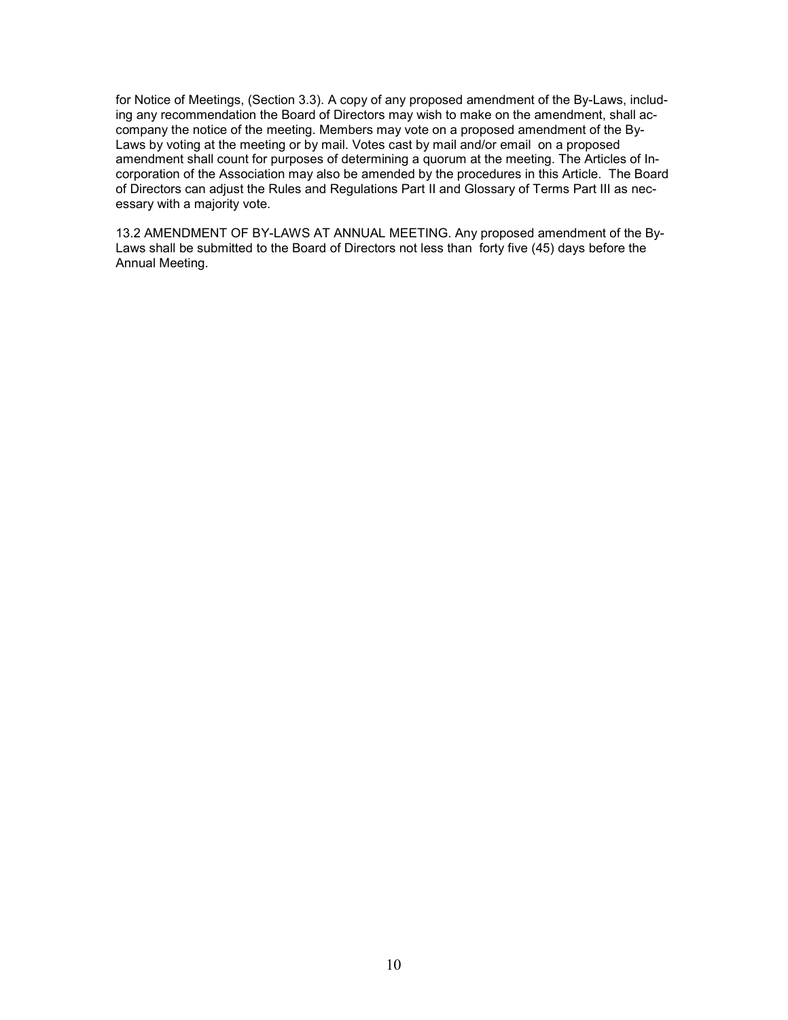for Notice of Meetings, (Section 3.3). A copy of any proposed amendment of the By-Laws, including any recommendation the Board of Directors may wish to make on the amendment, shall accompany the notice of the meeting. Members may vote on a proposed amendment of the By-Laws by voting at the meeting or by mail. Votes cast by mail and/or email on a proposed amendment shall count for purposes of determining a quorum at the meeting. The Articles of Incorporation of the Association may also be amended by the procedures in this Article. The Board of Directors can adjust the Rules and Regulations Part II and Glossary of Terms Part III as necessary with a majority vote.

13.2 AMENDMENT OF BY-LAWS AT ANNUAL MEETING. Any proposed amendment of the By-Laws shall be submitted to the Board of Directors not less than forty five (45) days before the Annual Meeting.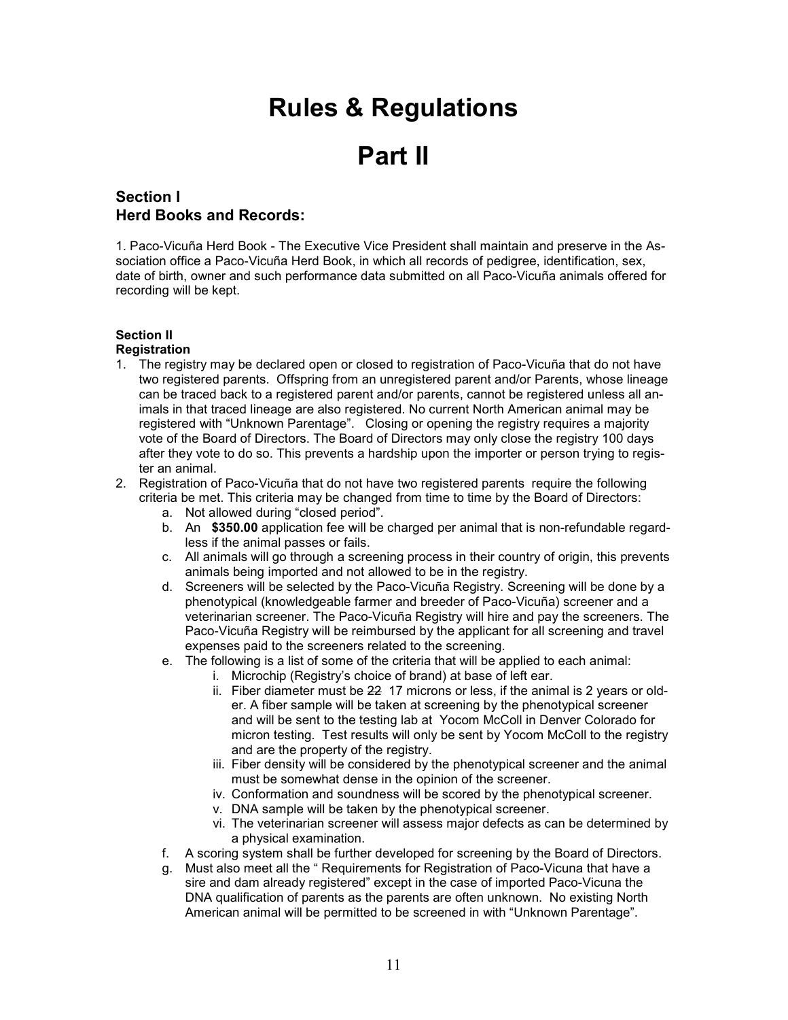# Rules & Regulations

# Part II

### Section I Herd Books and Records:

1. Paco-Vicuña Herd Book - The Executive Vice President shall maintain and preserve in the Association office a Paco-Vicuña Herd Book, in which all records of pedigree, identification, sex, date of birth, owner and such performance data submitted on all Paco-Vicuña animals offered for recording will be kept.

# Section II

### Registration

- 1. The registry may be declared open or closed to registration of Paco-Vicuña that do not have two registered parents. Offspring from an unregistered parent and/or Parents, whose lineage can be traced back to a registered parent and/or parents, cannot be registered unless all animals in that traced lineage are also registered. No current North American animal may be registered with "Unknown Parentage". Closing or opening the registry requires a majority vote of the Board of Directors. The Board of Directors may only close the registry 100 days after they vote to do so. This prevents a hardship upon the importer or person trying to register an animal.
- 2. Registration of Paco-Vicuña that do not have two registered parents require the following criteria be met. This criteria may be changed from time to time by the Board of Directors:
	- a. Not allowed during "closed period".
	- b. An \$350.00 application fee will be charged per animal that is non-refundable regardless if the animal passes or fails.
	- c. All animals will go through a screening process in their country of origin, this prevents animals being imported and not allowed to be in the registry.
	- d. Screeners will be selected by the Paco-Vicuña Registry. Screening will be done by a phenotypical (knowledgeable farmer and breeder of Paco-Vicuña) screener and a veterinarian screener. The Paco-Vicuña Registry will hire and pay the screeners. The Paco-Vicuña Registry will be reimbursed by the applicant for all screening and travel expenses paid to the screeners related to the screening.
	- e. The following is a list of some of the criteria that will be applied to each animal:
		- i. Microchip (Registry's choice of brand) at base of left ear.
		- ii. Fiber diameter must be 22 17 microns or less, if the animal is 2 years or older. A fiber sample will be taken at screening by the phenotypical screener and will be sent to the testing lab at Yocom McColl in Denver Colorado for micron testing. Test results will only be sent by Yocom McColl to the registry and are the property of the registry.
		- iii. Fiber density will be considered by the phenotypical screener and the animal must be somewhat dense in the opinion of the screener.
		- iv. Conformation and soundness will be scored by the phenotypical screener.
		- v. DNA sample will be taken by the phenotypical screener.
		- vi. The veterinarian screener will assess major defects as can be determined by a physical examination.
	- f. A scoring system shall be further developed for screening by the Board of Directors.
	- g. Must also meet all the " Requirements for Registration of Paco-Vicuna that have a sire and dam already registered" except in the case of imported Paco-Vicuna the DNA qualification of parents as the parents are often unknown. No existing North American animal will be permitted to be screened in with "Unknown Parentage".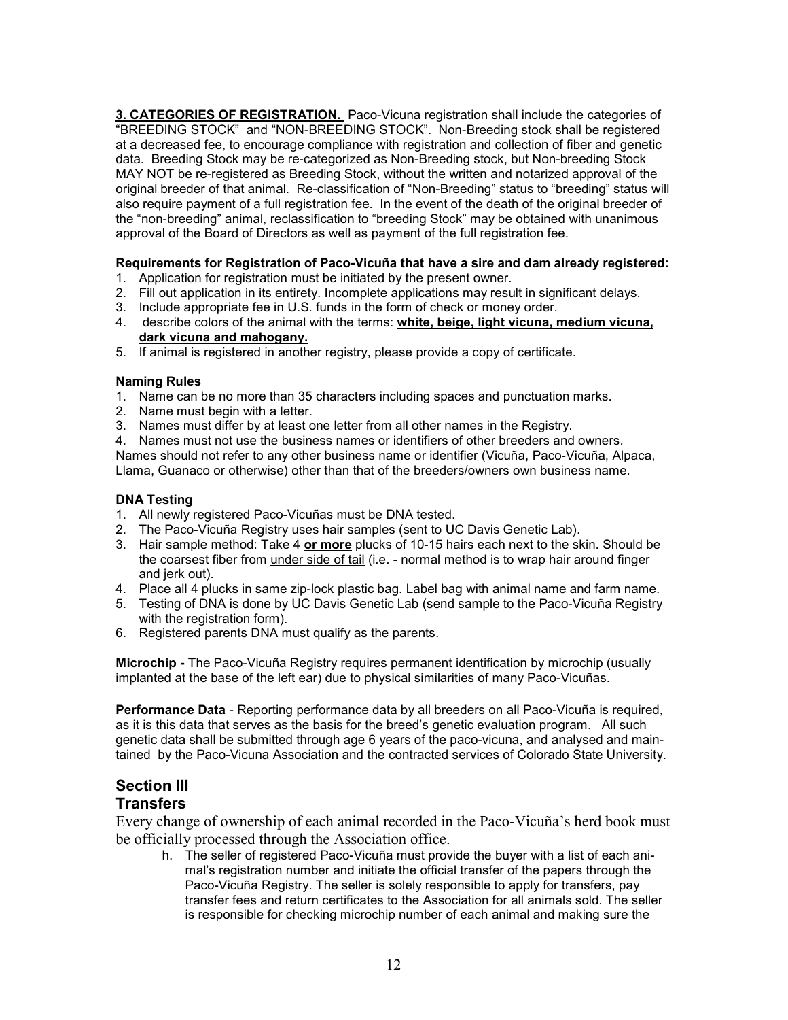3. CATEGORIES OF REGISTRATION. Paco-Vicuna registration shall include the categories of "BREEDING STOCK" and "NON-BREEDING STOCK". Non-Breeding stock shall be registered at a decreased fee, to encourage compliance with registration and collection of fiber and genetic data. Breeding Stock may be re-categorized as Non-Breeding stock, but Non-breeding Stock MAY NOT be re-registered as Breeding Stock, without the written and notarized approval of the original breeder of that animal. Re-classification of "Non-Breeding" status to "breeding" status will also require payment of a full registration fee. In the event of the death of the original breeder of the "non-breeding" animal, reclassification to "breeding Stock" may be obtained with unanimous approval of the Board of Directors as well as payment of the full registration fee.

### Requirements for Registration of Paco-Vicuña that have a sire and dam already registered:

- 1. Application for registration must be initiated by the present owner.
- 2. Fill out application in its entirety. Incomplete applications may result in significant delays.
- 3. Include appropriate fee in U.S. funds in the form of check or money order.
- 4. describe colors of the animal with the terms: white, beige, light vicuna, medium vicuna, dark vicuna and mahogany.
- 5. If animal is registered in another registry, please provide a copy of certificate.

### Naming Rules

- 1. Name can be no more than 35 characters including spaces and punctuation marks.
- 2. Name must begin with a letter.
- 3. Names must differ by at least one letter from all other names in the Registry.

4. Names must not use the business names or identifiers of other breeders and owners. Names should not refer to any other business name or identifier (Vicuña, Paco-Vicuña, Alpaca, Llama, Guanaco or otherwise) other than that of the breeders/owners own business name.

### DNA Testing

- 1. All newly registered Paco-Vicuñas must be DNA tested.
- 2. The Paco-Vicuña Registry uses hair samples (sent to UC Davis Genetic Lab).
- 3. Hair sample method: Take 4 or more plucks of 10-15 hairs each next to the skin. Should be the coarsest fiber from under side of tail (i.e. - normal method is to wrap hair around finger and jerk out).
- 4. Place all 4 plucks in same zip-lock plastic bag. Label bag with animal name and farm name.
- 5. Testing of DNA is done by UC Davis Genetic Lab (send sample to the Paco-Vicuña Registry with the registration form).
- 6. Registered parents DNA must qualify as the parents.

Microchip - The Paco-Vicuña Registry requires permanent identification by microchip (usually implanted at the base of the left ear) due to physical similarities of many Paco-Vicuñas.

Performance Data - Reporting performance data by all breeders on all Paco-Vicuña is required, as it is this data that serves as the basis for the breed's genetic evaluation program. All such genetic data shall be submitted through age 6 years of the paco-vicuna, and analysed and maintained by the Paco-Vicuna Association and the contracted services of Colorado State University.

### Section III **Transfers**

Every change of ownership of each animal recorded in the Paco-Vicuña's herd book must be officially processed through the Association office.

h. The seller of registered Paco-Vicuña must provide the buyer with a list of each animal's registration number and initiate the official transfer of the papers through the Paco-Vicuña Registry. The seller is solely responsible to apply for transfers, pay transfer fees and return certificates to the Association for all animals sold. The seller is responsible for checking microchip number of each animal and making sure the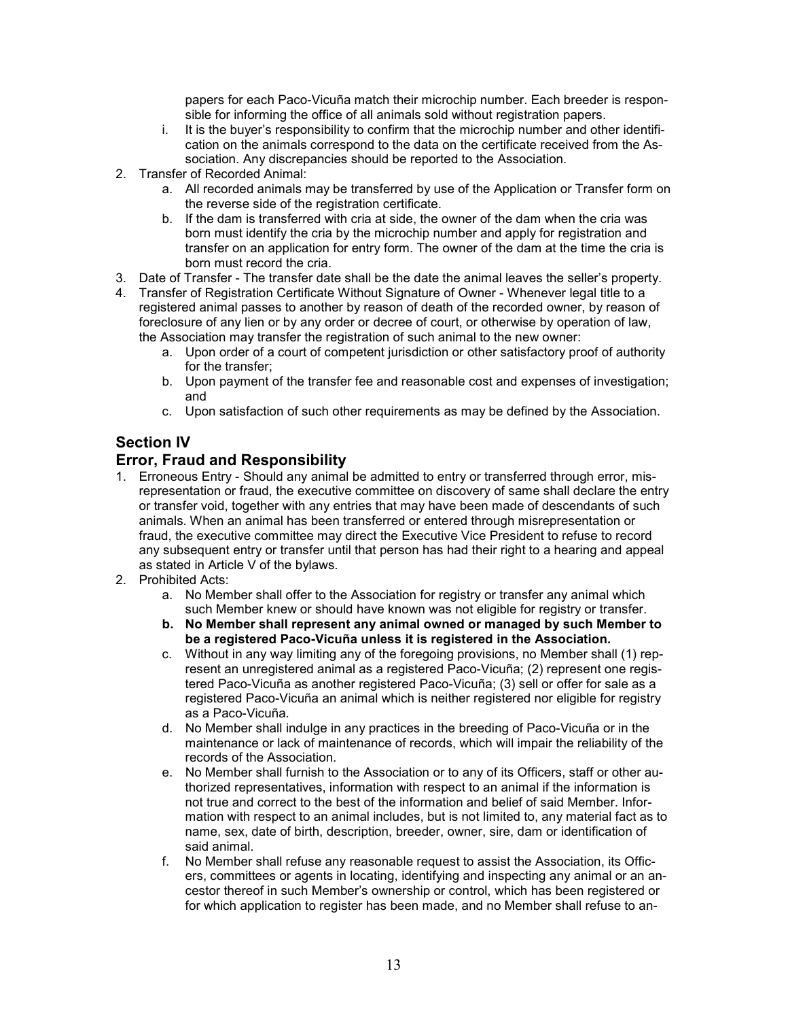papers for each Paco-Vicuña match their microchip number. Each breeder is responsible for informing the office of all animals sold without registration papers.

- i. It is the buyer's responsibility to confirm that the microchip number and other identification on the animals correspond to the data on the certificate received from the Association. Any discrepancies should be reported to the Association.
- 2. Transfer of Recorded Animal:
	- a. All recorded animals may be transferred by use of the Application or Transfer form on the reverse side of the registration certificate.
	- b. If the dam is transferred with cria at side, the owner of the dam when the cria was born must identify the cria by the microchip number and apply for registration and transfer on an application for entry form. The owner of the dam at the time the cria is born must record the cria.
- 3. Date of Transfer The transfer date shall be the date the animal leaves the seller's property.
- 4. Transfer of Registration Certificate Without Signature of Owner Whenever legal title to a registered animal passes to another by reason of death of the recorded owner, by reason of foreclosure of any lien or by any order or decree of court, or otherwise by operation of law, the Association may transfer the registration of such animal to the new owner:
	- a. Upon order of a court of competent jurisdiction or other satisfactory proof of authority for the transfer;
	- b. Upon payment of the transfer fee and reasonable cost and expenses of investigation; and
	- c. Upon satisfaction of such other requirements as may be defined by the Association.

### Section IV

### Error, Fraud and Responsibility

- 1. Erroneous Entry Should any animal be admitted to entry or transferred through error, misrepresentation or fraud, the executive committee on discovery of same shall declare the entry or transfer void, together with any entries that may have been made of descendants of such animals. When an animal has been transferred or entered through misrepresentation or fraud, the executive committee may direct the Executive Vice President to refuse to record any subsequent entry or transfer until that person has had their right to a hearing and appeal as stated in Article V of the bylaws.
- 2. Prohibited Acts:
	- a. No Member shall offer to the Association for registry or transfer any animal which such Member knew or should have known was not eligible for registry or transfer.
	- b. No Member shall represent any animal owned or managed by such Member to be a registered Paco-Vicuña unless it is registered in the Association.
	- c. Without in any way limiting any of the foregoing provisions, no Member shall (1) represent an unregistered animal as a registered Paco-Vicuña; (2) represent one registered Paco-Vicuña as another registered Paco-Vicuña; (3) sell or offer for sale as a registered Paco-Vicuña an animal which is neither registered nor eligible for registry as a Paco-Vicuña.
	- d. No Member shall indulge in any practices in the breeding of Paco-Vicuña or in the maintenance or lack of maintenance of records, which will impair the reliability of the records of the Association.
	- e. No Member shall furnish to the Association or to any of its Officers, staff or other authorized representatives, information with respect to an animal if the information is not true and correct to the best of the information and belief of said Member. Information with respect to an animal includes, but is not limited to, any material fact as to name, sex, date of birth, description, breeder, owner, sire, dam or identification of said animal.
	- f. No Member shall refuse any reasonable request to assist the Association, its Officers, committees or agents in locating, identifying and inspecting any animal or an ancestor thereof in such Member's ownership or control, which has been registered or for which application to register has been made, and no Member shall refuse to an-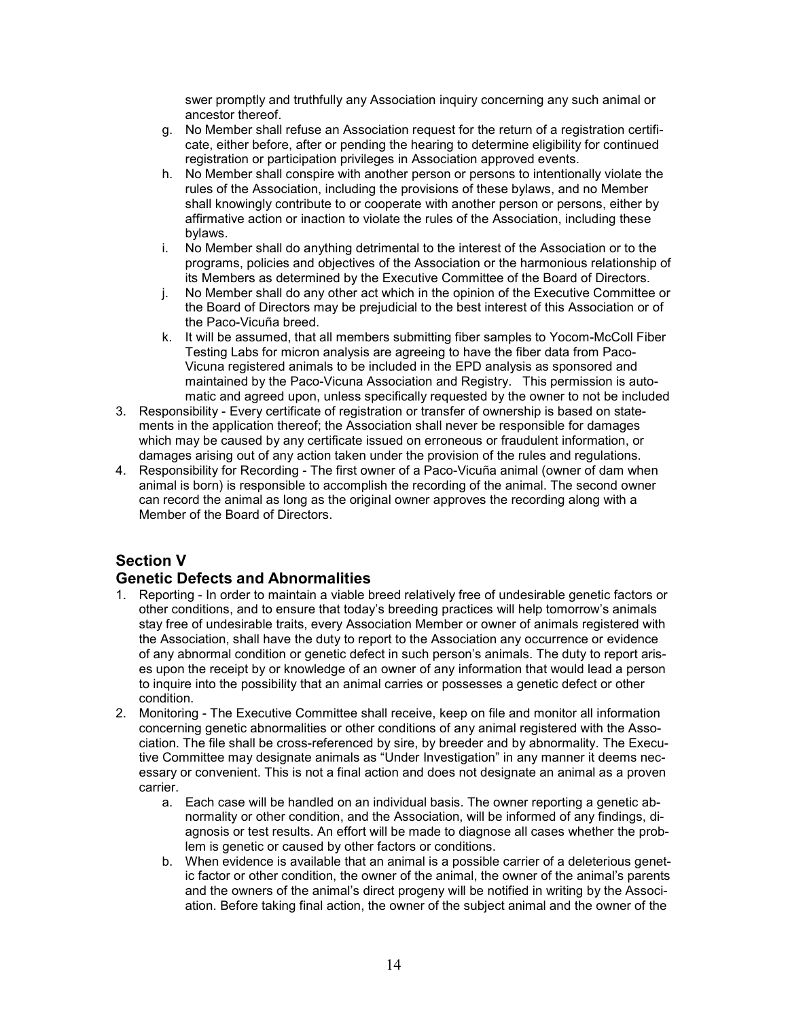swer promptly and truthfully any Association inquiry concerning any such animal or ancestor thereof.

- g. No Member shall refuse an Association request for the return of a registration certificate, either before, after or pending the hearing to determine eligibility for continued registration or participation privileges in Association approved events.
- h. No Member shall conspire with another person or persons to intentionally violate the rules of the Association, including the provisions of these bylaws, and no Member shall knowingly contribute to or cooperate with another person or persons, either by affirmative action or inaction to violate the rules of the Association, including these bylaws.
- i. No Member shall do anything detrimental to the interest of the Association or to the programs, policies and objectives of the Association or the harmonious relationship of its Members as determined by the Executive Committee of the Board of Directors.
- j. No Member shall do any other act which in the opinion of the Executive Committee or the Board of Directors may be prejudicial to the best interest of this Association or of the Paco-Vicuña breed.
- k. It will be assumed, that all members submitting fiber samples to Yocom-McColl Fiber Testing Labs for micron analysis are agreeing to have the fiber data from Paco-Vicuna registered animals to be included in the EPD analysis as sponsored and maintained by the Paco-Vicuna Association and Registry. This permission is automatic and agreed upon, unless specifically requested by the owner to not be included
- 3. Responsibility Every certificate of registration or transfer of ownership is based on statements in the application thereof; the Association shall never be responsible for damages which may be caused by any certificate issued on erroneous or fraudulent information, or damages arising out of any action taken under the provision of the rules and regulations.
- 4. Responsibility for Recording The first owner of a Paco-Vicuña animal (owner of dam when animal is born) is responsible to accomplish the recording of the animal. The second owner can record the animal as long as the original owner approves the recording along with a Member of the Board of Directors.

### Section V

### Genetic Defects and Abnormalities

- 1. Reporting In order to maintain a viable breed relatively free of undesirable genetic factors or other conditions, and to ensure that today's breeding practices will help tomorrow's animals stay free of undesirable traits, every Association Member or owner of animals registered with the Association, shall have the duty to report to the Association any occurrence or evidence of any abnormal condition or genetic defect in such person's animals. The duty to report arises upon the receipt by or knowledge of an owner of any information that would lead a person to inquire into the possibility that an animal carries or possesses a genetic defect or other condition.
- 2. Monitoring The Executive Committee shall receive, keep on file and monitor all information concerning genetic abnormalities or other conditions of any animal registered with the Association. The file shall be cross-referenced by sire, by breeder and by abnormality. The Executive Committee may designate animals as "Under Investigation" in any manner it deems necessary or convenient. This is not a final action and does not designate an animal as a proven carrier.
	- a. Each case will be handled on an individual basis. The owner reporting a genetic abnormality or other condition, and the Association, will be informed of any findings, diagnosis or test results. An effort will be made to diagnose all cases whether the problem is genetic or caused by other factors or conditions.
	- b. When evidence is available that an animal is a possible carrier of a deleterious genetic factor or other condition, the owner of the animal, the owner of the animal's parents and the owners of the animal's direct progeny will be notified in writing by the Association. Before taking final action, the owner of the subject animal and the owner of the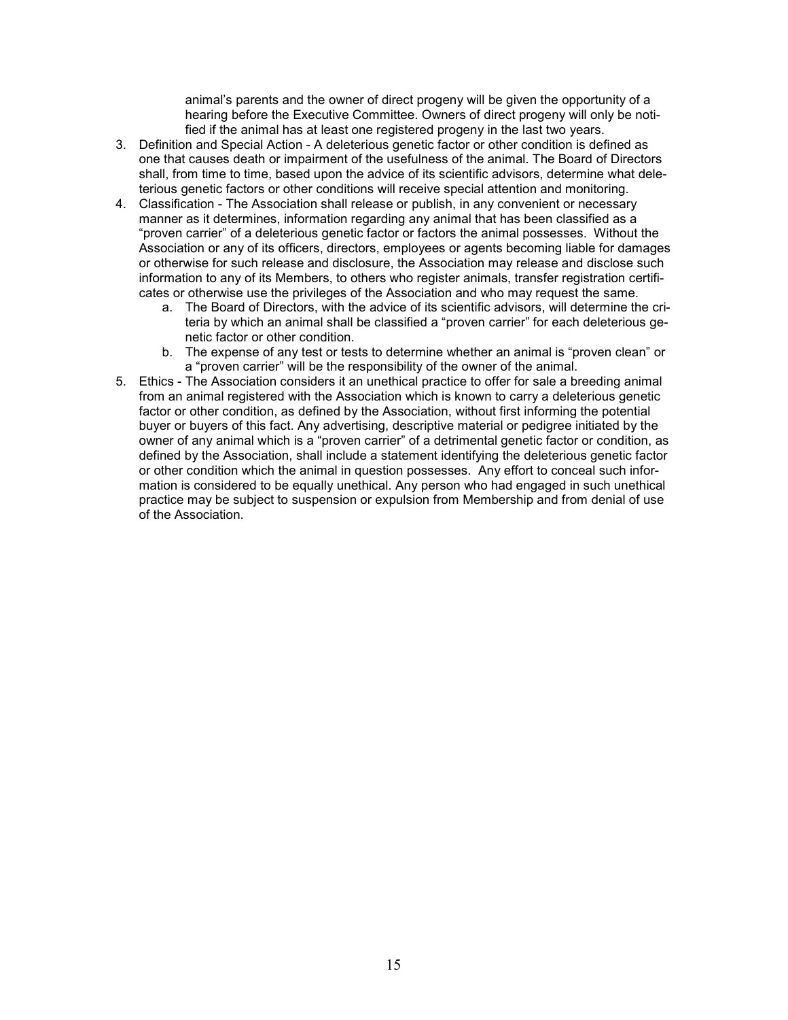animal's parents and the owner of direct progeny will be given the opportunity of a hearing before the Executive Committee. Owners of direct progeny will only be notified if the animal has at least one registered progeny in the last two years.

- 3. Definition and Special Action A deleterious genetic factor or other condition is defined as one that causes death or impairment of the usefulness of the animal. The Board of Directors shall, from time to time, based upon the advice of its scientific advisors, determine what deleterious genetic factors or other conditions will receive special attention and monitoring.
- 4. Classification The Association shall release or publish, in any convenient or necessary manner as it determines, information regarding any animal that has been classified as a "proven carrier" of a deleterious genetic factor or factors the animal possesses. Without the Association or any of its officers, directors, employees or agents becoming liable for damages or otherwise for such release and disclosure, the Association may release and disclose such information to any of its Members, to others who register animals, transfer registration certificates or otherwise use the privileges of the Association and who may request the same.
	- a. The Board of Directors, with the advice of its scientific advisors, will determine the criteria by which an animal shall be classified a "proven carrier" for each deleterious genetic factor or other condition.
	- b. The expense of any test or tests to determine whether an animal is "proven clean" or a "proven carrier" will be the responsibility of the owner of the animal.
- 5. Ethics The Association considers it an unethical practice to offer for sale a breeding animal from an animal registered with the Association which is known to carry a deleterious genetic factor or other condition, as defined by the Association, without first informing the potential buyer or buyers of this fact. Any advertising, descriptive material or pedigree initiated by the owner of any animal which is a "proven carrier" of a detrimental genetic factor or condition, as defined by the Association, shall include a statement identifying the deleterious genetic factor or other condition which the animal in question possesses. Any effort to conceal such information is considered to be equally unethical. Any person who had engaged in such unethical practice may be subject to suspension or expulsion from Membership and from denial of use of the Association.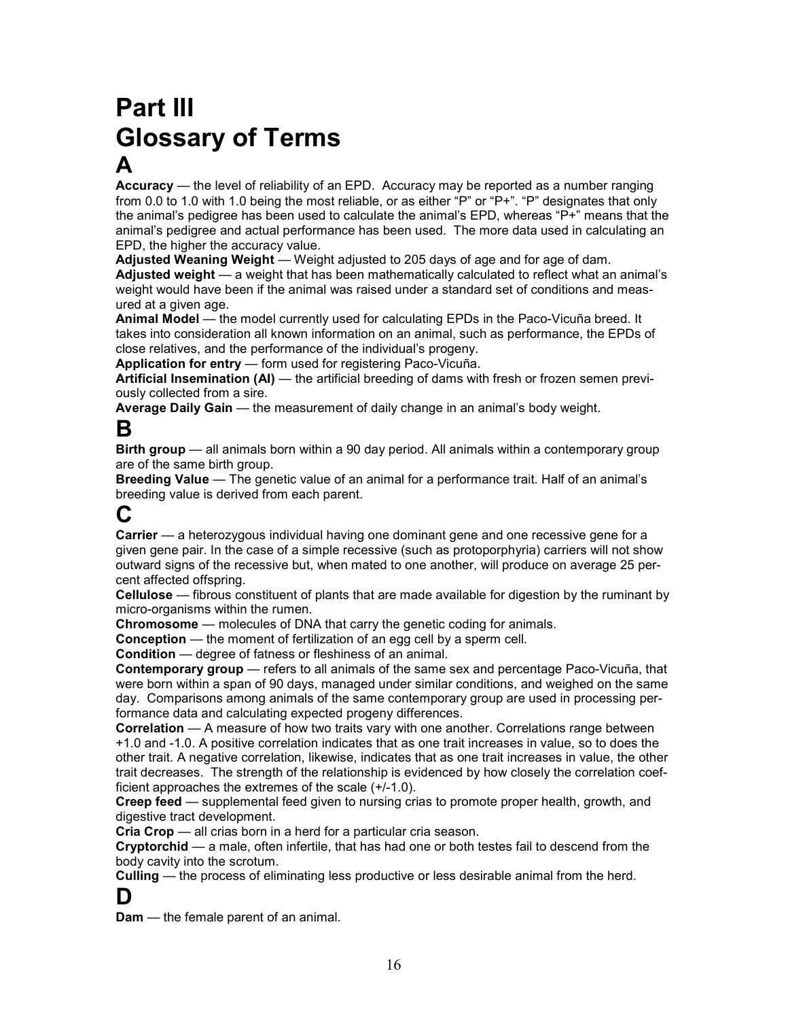# Part III Glossary of Terms A

Accuracy — the level of reliability of an EPD. Accuracy may be reported as a number ranging from 0.0 to 1.0 with 1.0 being the most reliable, or as either "P" or "P+". "P" designates that only the animal's pedigree has been used to calculate the animal's EPD, whereas "P+" means that the animal's pedigree and actual performance has been used. The more data used in calculating an EPD, the higher the accuracy value.

Adjusted Weaning Weight — Weight adjusted to 205 days of age and for age of dam. Adjusted weight — a weight that has been mathematically calculated to reflect what an animal's weight would have been if the animal was raised under a standard set of conditions and measured at a given age.

Animal Model — the model currently used for calculating EPDs in the Paco-Vicuña breed. It takes into consideration all known information on an animal, such as performance, the EPDs of close relatives, and the performance of the individual's progeny.

Application for entry - form used for registering Paco-Vicuña.

Artificial Insemination (AI) — the artificial breeding of dams with fresh or frozen semen previously collected from a sire.

Average Daily Gain — the measurement of daily change in an animal's body weight.

# B

Birth group — all animals born within a 90 day period. All animals within a contemporary group are of the same birth group.

Breeding Value — The genetic value of an animal for a performance trait. Half of an animal's breeding value is derived from each parent.

# C

Carrier — a heterozygous individual having one dominant gene and one recessive gene for a given gene pair. In the case of a simple recessive (such as protoporphyria) carriers will not show outward signs of the recessive but, when mated to one another, will produce on average 25 percent affected offspring.

Cellulose — fibrous constituent of plants that are made available for digestion by the ruminant by micro-organisms within the rumen.

Chromosome — molecules of DNA that carry the genetic coding for animals.

Conception — the moment of fertilization of an egg cell by a sperm cell.

Condition — degree of fatness or fleshiness of an animal.

Contemporary group — refers to all animals of the same sex and percentage Paco-Vicuña, that were born within a span of 90 days, managed under similar conditions, and weighed on the same day. Comparisons among animals of the same contemporary group are used in processing performance data and calculating expected progeny differences.

Correlation — A measure of how two traits vary with one another. Correlations range between +1.0 and -1.0. A positive correlation indicates that as one trait increases in value, so to does the other trait. A negative correlation, likewise, indicates that as one trait increases in value, the other trait decreases. The strength of the relationship is evidenced by how closely the correlation coefficient approaches the extremes of the scale (+/-1.0).

Creep feed — supplemental feed given to nursing crias to promote proper health, growth, and digestive tract development.

Cria Crop — all crias born in a herd for a particular cria season.

Cryptorchid — a male, often infertile, that has had one or both testes fail to descend from the body cavity into the scrotum.

Culling — the process of eliminating less productive or less desirable animal from the herd.

D

**Dam** — the female parent of an animal.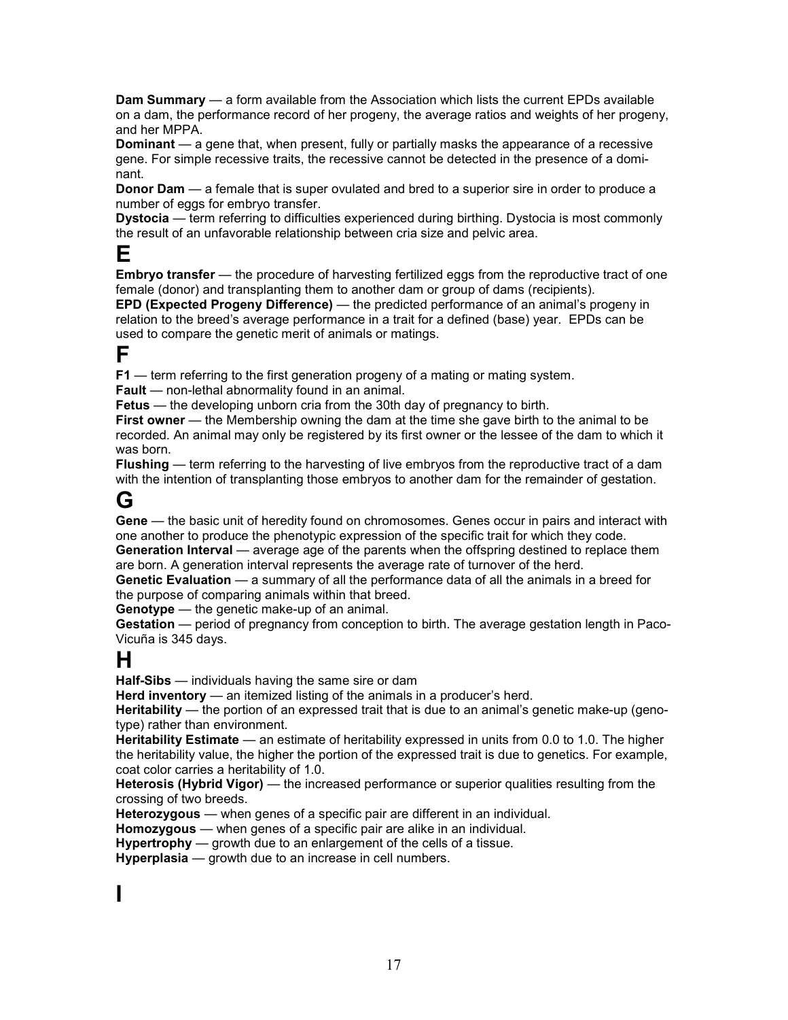Dam Summary — a form available from the Association which lists the current EPDs available on a dam, the performance record of her progeny, the average ratios and weights of her progeny, and her MPPA.

**Dominant** — a gene that, when present, fully or partially masks the appearance of a recessive gene. For simple recessive traits, the recessive cannot be detected in the presence of a dominant.

**Donor Dam** — a female that is super ovulated and bred to a superior sire in order to produce a number of eggs for embryo transfer.

Dystocia - term referring to difficulties experienced during birthing. Dystocia is most commonly the result of an unfavorable relationship between cria size and pelvic area.

## E

**Embryo transfer** — the procedure of harvesting fertilized eggs from the reproductive tract of one female (donor) and transplanting them to another dam or group of dams (recipients).

EPD (Expected Progeny Difference) — the predicted performance of an animal's progeny in relation to the breed's average performance in a trait for a defined (base) year. EPDs can be used to compare the genetic merit of animals or matings.

## F

F1 — term referring to the first generation progeny of a mating or mating system.

Fault — non-lethal abnormality found in an animal.

Fetus — the developing unborn cria from the 30th day of pregnancy to birth.

First owner — the Membership owning the dam at the time she gave birth to the animal to be recorded. An animal may only be registered by its first owner or the lessee of the dam to which it was born.

Flushing — term referring to the harvesting of live embryos from the reproductive tract of a dam with the intention of transplanting those embryos to another dam for the remainder of gestation.

## G

Gene — the basic unit of heredity found on chromosomes. Genes occur in pairs and interact with one another to produce the phenotypic expression of the specific trait for which they code. Generation Interval — average age of the parents when the offspring destined to replace them

are born. A generation interval represents the average rate of turnover of the herd.

Genetic Evaluation — a summary of all the performance data of all the animals in a breed for the purpose of comparing animals within that breed.

Genotype — the genetic make-up of an animal.

Gestation — period of pregnancy from conception to birth. The average gestation length in Paco-Vicuña is 345 days.

# H

Half-Sibs — individuals having the same sire or dam

Herd inventory — an itemized listing of the animals in a producer's herd.

**Heritability** — the portion of an expressed trait that is due to an animal's genetic make-up (genotype) rather than environment.

Heritability Estimate — an estimate of heritability expressed in units from 0.0 to 1.0. The higher the heritability value, the higher the portion of the expressed trait is due to genetics. For example, coat color carries a heritability of 1.0.

Heterosis (Hybrid Vigor) — the increased performance or superior qualities resulting from the crossing of two breeds.

Heterozygous — when genes of a specific pair are different in an individual.

Homozygous — when genes of a specific pair are alike in an individual.

Hypertrophy — growth due to an enlargement of the cells of a tissue.

Hyperplasia — growth due to an increase in cell numbers.

# I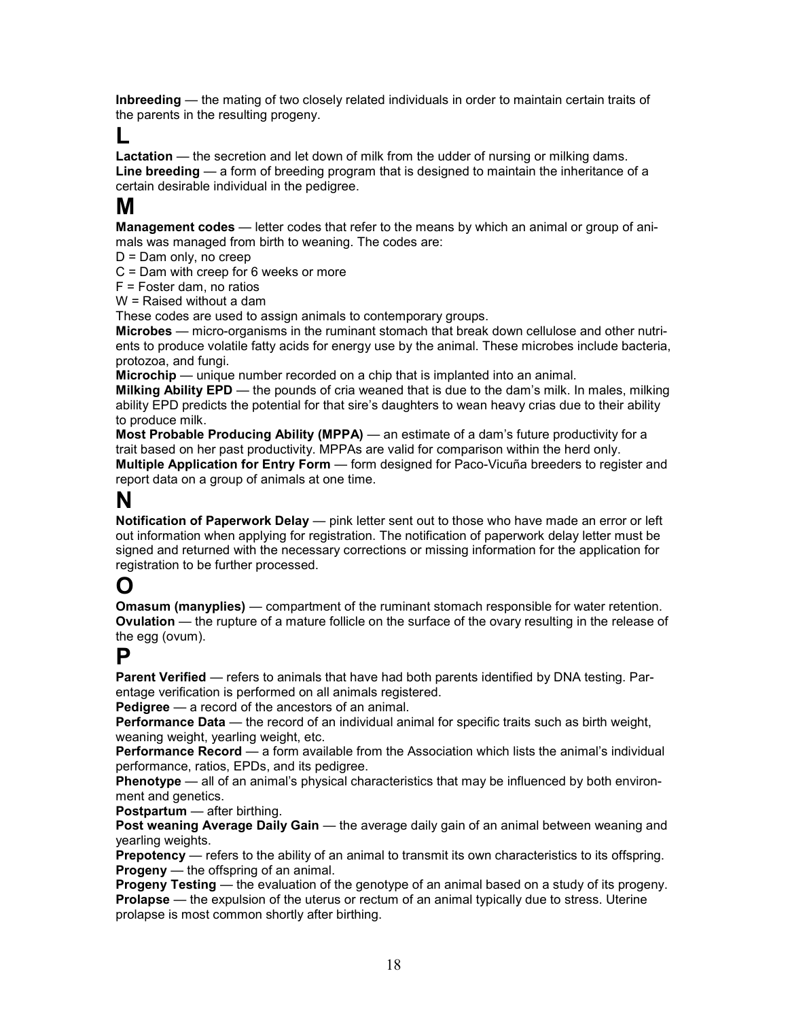Inbreeding — the mating of two closely related individuals in order to maintain certain traits of the parents in the resulting progeny.

## L

Lactation — the secretion and let down of milk from the udder of nursing or milking dams. Line breeding — a form of breeding program that is designed to maintain the inheritance of a certain desirable individual in the pedigree.

# M

**Management codes** — letter codes that refer to the means by which an animal or group of animals was managed from birth to weaning. The codes are:

D = Dam only, no creep

C = Dam with creep for 6 weeks or more

F = Foster dam, no ratios

W = Raised without a dam

These codes are used to assign animals to contemporary groups.

Microbes — micro-organisms in the ruminant stomach that break down cellulose and other nutrients to produce volatile fatty acids for energy use by the animal. These microbes include bacteria, protozoa, and fungi.

Microchip — unique number recorded on a chip that is implanted into an animal.

**Milking Ability EPD** — the pounds of cria weaned that is due to the dam's milk. In males, milking ability EPD predicts the potential for that sire's daughters to wean heavy crias due to their ability to produce milk.

Most Probable Producing Ability (MPPA) — an estimate of a dam's future productivity for a trait based on her past productivity. MPPAs are valid for comparison within the herd only. Multiple Application for Entry Form — form designed for Paco-Vicuña breeders to register and

report data on a group of animals at one time.

# N

Notification of Paperwork Delay — pink letter sent out to those who have made an error or left out information when applying for registration. The notification of paperwork delay letter must be signed and returned with the necessary corrections or missing information for the application for registration to be further processed.

# O

**Omasum (manyplies)** — compartment of the ruminant stomach responsible for water retention. Ovulation — the rupture of a mature follicle on the surface of the ovary resulting in the release of the egg (ovum).

# P

**Parent Verified** — refers to animals that have had both parents identified by DNA testing. Parentage verification is performed on all animals registered.

**Pedigree** — a record of the ancestors of an animal.

Performance Data — the record of an individual animal for specific traits such as birth weight, weaning weight, yearling weight, etc.

Performance Record — a form available from the Association which lists the animal's individual performance, ratios, EPDs, and its pedigree.

**Phenotype** — all of an animal's physical characteristics that may be influenced by both environment and genetics.

Postpartum — after birthing.

Post weaning Average Daily Gain — the average daily gain of an animal between weaning and yearling weights.

Prepotency — refers to the ability of an animal to transmit its own characteristics to its offspring. **Progeny** — the offspring of an animal.

Progeny Testing — the evaluation of the genotype of an animal based on a study of its progeny. Prolapse — the expulsion of the uterus or rectum of an animal typically due to stress. Uterine prolapse is most common shortly after birthing.